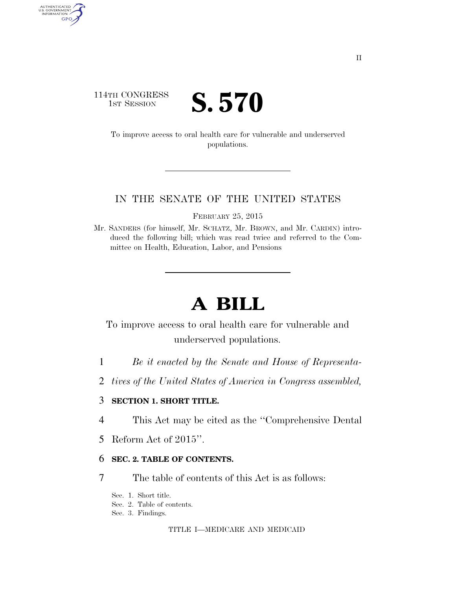### 114TH CONGRESS **IST SESSION S. 570**

AUTHENTICATED<br>U.S. GOVERNMENT<br>INFORMATION GPO

> To improve access to oral health care for vulnerable and underserved populations.

### IN THE SENATE OF THE UNITED STATES

FEBRUARY 25, 2015

Mr. SANDERS (for himself, Mr. SCHATZ, Mr. BROWN, and Mr. CARDIN) introduced the following bill; which was read twice and referred to the Committee on Health, Education, Labor, and Pensions

# **A BILL**

To improve access to oral health care for vulnerable and underserved populations.

- 1 *Be it enacted by the Senate and House of Representa-*
- 2 *tives of the United States of America in Congress assembled,*

### 3 **SECTION 1. SHORT TITLE.**

- 4 This Act may be cited as the ''Comprehensive Dental
- 5 Reform Act of 2015''.

### 6 **SEC. 2. TABLE OF CONTENTS.**

- 7 The table of contents of this Act is as follows:
	- Sec. 1. Short title.
	- Sec. 2. Table of contents.
	- Sec. 3. Findings.

TITLE I—MEDICARE AND MEDICAID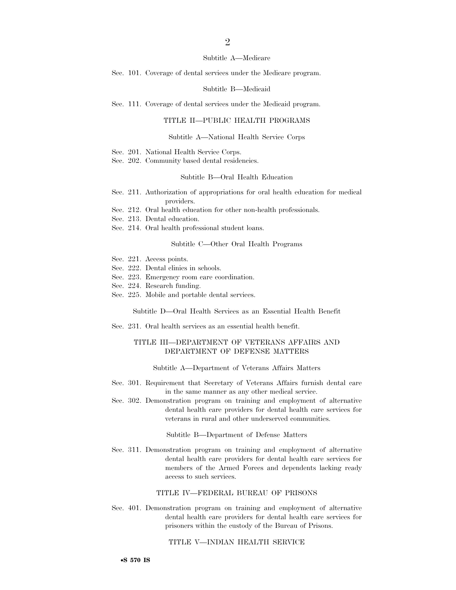### $\mathfrak{D}$

#### Subtitle A—Medicare

Sec. 101. Coverage of dental services under the Medicare program.

#### Subtitle B—Medicaid

Sec. 111. Coverage of dental services under the Medicaid program.

### TITLE II—PUBLIC HEALTH PROGRAMS

#### Subtitle A—National Health Service Corps

- Sec. 201. National Health Service Corps.
- Sec. 202. Community based dental residencies.

#### Subtitle B—Oral Health Education

- Sec. 211. Authorization of appropriations for oral health education for medical providers.
- Sec. 212. Oral health education for other non-health professionals.
- Sec. 213. Dental education.
- Sec. 214. Oral health professional student loans.

#### Subtitle C—Other Oral Health Programs

- Sec. 221. Access points.
- Sec. 222. Dental clinics in schools.
- Sec. 223. Emergency room care coordination.
- Sec. 224. Research funding.
- Sec. 225. Mobile and portable dental services.

Subtitle D—Oral Health Services as an Essential Health Benefit

Sec. 231. Oral health services as an essential health benefit.

### TITLE III—DEPARTMENT OF VETERANS AFFAIRS AND DEPARTMENT OF DEFENSE MATTERS

Subtitle A—Department of Veterans Affairs Matters

- Sec. 301. Requirement that Secretary of Veterans Affairs furnish dental care in the same manner as any other medical service.
- Sec. 302. Demonstration program on training and employment of alternative dental health care providers for dental health care services for veterans in rural and other underserved communities.

#### Subtitle B—Department of Defense Matters

Sec. 311. Demonstration program on training and employment of alternative dental health care providers for dental health care services for members of the Armed Forces and dependents lacking ready access to such services.

#### TITLE IV—FEDERAL BUREAU OF PRISONS

Sec. 401. Demonstration program on training and employment of alternative dental health care providers for dental health care services for prisoners within the custody of the Bureau of Prisons.

### TITLE V—INDIAN HEALTH SERVICE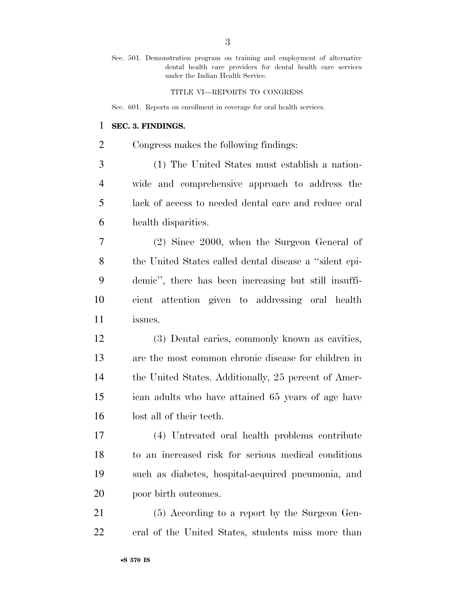Sec. 501. Demonstration program on training and employment of alternative dental health care providers for dental health care services under the Indian Health Service.

TITLE VI—REPORTS TO CONGRESS

Sec. 601. Reports on enrollment in coverage for oral health services.

### **SEC. 3. FINDINGS.**

Congress makes the following findings:

 (1) The United States must establish a nation- wide and comprehensive approach to address the lack of access to needed dental care and reduce oral health disparities.

 (2) Since 2000, when the Surgeon General of the United States called dental disease a ''silent epi- demic'', there has been increasing but still insuffi- cient attention given to addressing oral health issues.

 (3) Dental caries, commonly known as cavities, are the most common chronic disease for children in 14 the United States. Additionally, 25 percent of Amer- ican adults who have attained 65 years of age have lost all of their teeth.

 (4) Untreated oral health problems contribute to an increased risk for serious medical conditions such as diabetes, hospital-acquired pneumonia, and poor birth outcomes.

 (5) According to a report by the Surgeon Gen-eral of the United States, students miss more than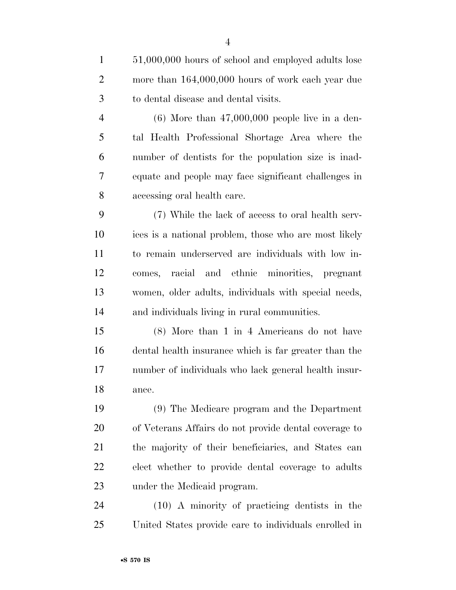51,000,000 hours of school and employed adults lose 2 more than  $164,000,000$  hours of work each year due to dental disease and dental visits. (6) More than 47,000,000 people live in a den- tal Health Professional Shortage Area where the number of dentists for the population size is inad- equate and people may face significant challenges in accessing oral health care. (7) While the lack of access to oral health serv- ices is a national problem, those who are most likely to remain underserved are individuals with low in- comes, racial and ethnic minorities, pregnant women, older adults, individuals with special needs, and individuals living in rural communities. (8) More than 1 in 4 Americans do not have dental health insurance which is far greater than the number of individuals who lack general health insur- ance. (9) The Medicare program and the Department of Veterans Affairs do not provide dental coverage to the majority of their beneficiaries, and States can elect whether to provide dental coverage to adults under the Medicaid program.

 (10) A minority of practicing dentists in the United States provide care to individuals enrolled in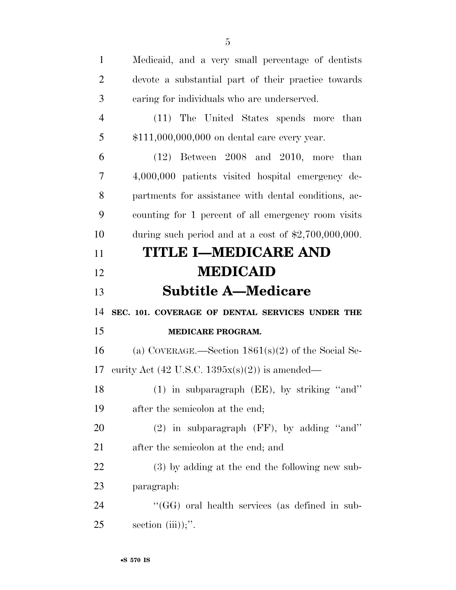| $\mathbf{1}$   | Medicaid, and a very small percentage of dentists             |
|----------------|---------------------------------------------------------------|
| $\overline{2}$ | devote a substantial part of their practice towards           |
| 3              | caring for individuals who are underserved.                   |
| $\overline{4}$ | (11) The United States spends more than                       |
| 5              | \$111,000,000,000 on dental care every year.                  |
| 6              | $(12)$ Between 2008 and 2010, more than                       |
| 7              | 4,000,000 patients visited hospital emergency de-             |
| 8              | partments for assistance with dental conditions, ac-          |
| 9              | counting for 1 percent of all emergency room visits           |
| 10             | during such period and at a cost of $\text{$2,700,000,000}$ . |
| 11             | <b>TITLE I-MEDICARE AND</b>                                   |
| 12             | <b>MEDICAID</b>                                               |
|                |                                                               |
| 13             | <b>Subtitle A—Medicare</b>                                    |
| 14             | SEC. 101. COVERAGE OF DENTAL SERVICES UNDER THE               |
| 15             | MEDICARE PROGRAM.                                             |
| 16             | (a) COVERAGE.—Section $1861(s)(2)$ of the Social Se-          |
| 17             | curity Act (42 U.S.C. $1395x(s)(2)$ ) is amended—             |
| 18             | (1) in subparagraph (EE), by striking "and"                   |
| 19             | after the semicolon at the end;                               |
| 20             | $(2)$ in subparagraph (FF), by adding "and"                   |
| 21             | after the semicolon at the end; and                           |
| 22             | (3) by adding at the end the following new sub-               |
| 23             | paragraph:                                                    |
| 24             | "(GG) oral health services (as defined in sub-                |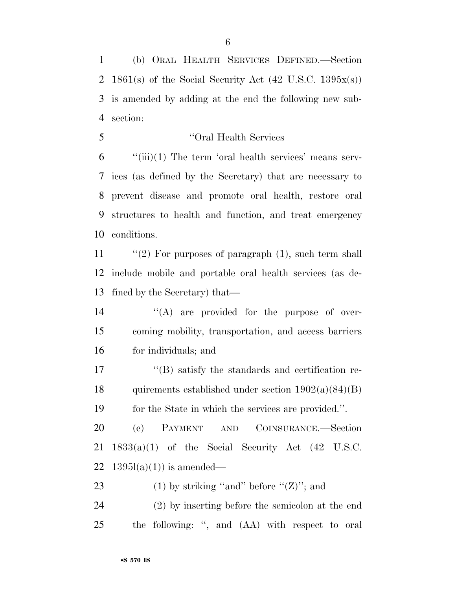(b) ORAL HEALTH SERVICES DEFINED.—Section 2 1861(s) of the Social Security Act  $(42 \text{ U.S.C. } 1395x(s))$  is amended by adding at the end the following new sub-section:

''Oral Health Services

 "(iii)(1) The term 'oral health services' means serv- ices (as defined by the Secretary) that are necessary to prevent disease and promote oral health, restore oral structures to health and function, and treat emergency conditions.

11 "(2) For purposes of paragraph (1), such term shall include mobile and portable oral health services (as de-fined by the Secretary) that—

14  $\langle (A) \rangle$  are provided for the purpose of over- coming mobility, transportation, and access barriers for individuals; and

17 ''(B) satisfy the standards and certification re-18 quirements established under section  $1902(a)(84)(B)$ for the State in which the services are provided.''.

 (c) PAYMENT AND COINSURANCE.—Section 1833(a)(1) of the Social Security Act (42 U.S.C. 22  $1395l(a)(1)$  is amended—

23 (1) by striking "and" before " $(Z)$ "; and

 (2) by inserting before the semicolon at the end the following: '', and (AA) with respect to oral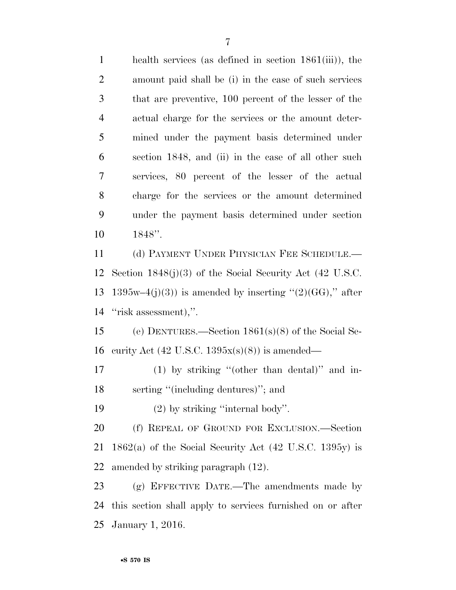health services (as defined in section 1861(iii)), the amount paid shall be (i) in the case of such services that are preventive, 100 percent of the lesser of the actual charge for the services or the amount deter- mined under the payment basis determined under section 1848, and (ii) in the case of all other such services, 80 percent of the lesser of the actual charge for the services or the amount determined under the payment basis determined under section 1848''. (d) PAYMENT UNDER PHYSICIAN FEE SCHEDULE.— Section 1848(j)(3) of the Social Security Act (42 U.S.C. 13 1395w–4(j)(3)) is amended by inserting " $(2)(GG)$ ," after ''risk assessment),''. (e) DENTURES.—Section 1861(s)(8) of the Social Se-

16 curity Act (42 U.S.C.  $1395x(s)(8)$ ) is amended—

 (1) by striking ''(other than dental)'' and in-18 serting "(including dentures)"; and

19 (2) by striking "internal body".

 (f) REPEAL OF GROUND FOR EXCLUSION.—Section 1862(a) of the Social Security Act (42 U.S.C. 1395y) is amended by striking paragraph (12).

 (g) EFFECTIVE DATE.—The amendments made by this section shall apply to services furnished on or after January 1, 2016.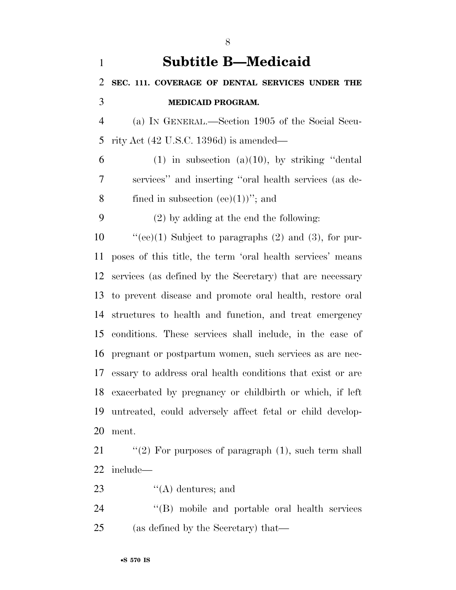| $\mathbf{1}$   | <b>Subtitle B—Medicaid</b>                                  |
|----------------|-------------------------------------------------------------|
| 2              | SEC. 111. COVERAGE OF DENTAL SERVICES UNDER THE             |
| 3              | <b>MEDICAID PROGRAM.</b>                                    |
| $\overline{4}$ | (a) IN GENERAL.—Section 1905 of the Social Secu-            |
| 5              | rity Act $(42 \text{ U.S.C. } 1396d)$ is amended—           |
| 6              | $(1)$ in subsection $(a)(10)$ , by striking "dental"        |
| 7              | services" and inserting "oral health services (as de-       |
| 8              | fined in subsection (ee) $(1)$ )"; and                      |
| 9              | $(2)$ by adding at the end the following:                   |
| 10             | "(ee)(1) Subject to paragraphs $(2)$ and $(3)$ , for pur-   |
| 11             | poses of this title, the term 'oral health services' means  |
| 12             | services (as defined by the Secretary) that are necessary   |
| 13             | to prevent disease and promote oral health, restore oral    |
| 14             | structures to health and function, and treat emergency      |
| 15             | conditions. These services shall include, in the case of    |
| 16             | pregnant or postpartum women, such services as are nec-     |
| 17             | essary to address oral health conditions that exist or are  |
|                | 18 exacerbated by pregnancy or childbirth or which, if left |
| 19             | untreated, could adversely affect fetal or child develop-   |
| 20             | ment.                                                       |
| 21             | "(2) For purposes of paragraph $(1)$ , such term shall      |
| 22             | include—                                                    |

- 23 ''(A) dentures; and
- 24 ''(B) mobile and portable oral health services (as defined by the Secretary) that—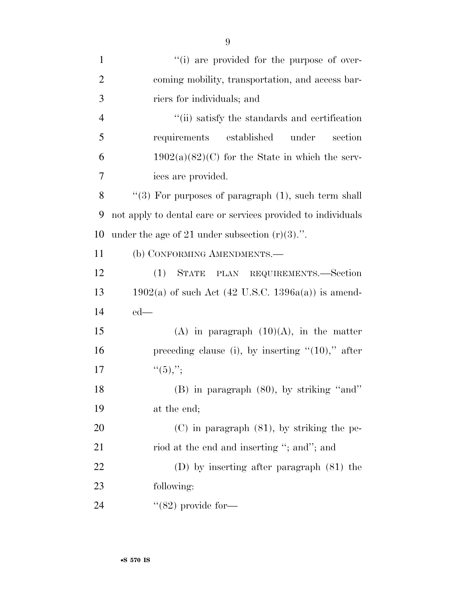| $\mathbf{1}$   | "(i) are provided for the purpose of over-                   |
|----------------|--------------------------------------------------------------|
| $\overline{2}$ | coming mobility, transportation, and access bar-             |
| 3              | riers for individuals; and                                   |
| $\overline{4}$ | "(ii) satisfy the standards and certification                |
| 5              | requirements established<br>under<br>section                 |
| 6              | $1902(a)(82)(C)$ for the State in which the serv-            |
| 7              | ices are provided.                                           |
| 8              | "(3) For purposes of paragraph $(1)$ , such term shall       |
| 9              | not apply to dental care or services provided to individuals |
| 10             | under the age of 21 under subsection $(r)(3)$ .".            |
| 11             | (b) CONFORMING AMENDMENTS.-                                  |
| 12             | STATE PLAN REQUIREMENTS.-Section<br>(1)                      |
| 13             | $1902(a)$ of such Act (42 U.S.C. 1396a(a)) is amend-         |
| 14             | $ed$ —                                                       |
| 15             | (A) in paragraph $(10)(A)$ , in the matter                   |
| 16             | preceding clause (i), by inserting $"(10)$ ," after          |
| 17             | ``(5),":                                                     |
| 18             | $(B)$ in paragraph $(80)$ , by striking "and"                |
| 19             | at the end;                                                  |
| 20             | $(C)$ in paragraph $(81)$ , by striking the pe-              |
| 21             | riod at the end and inserting "; and"; and                   |
| 22             | $(D)$ by inserting after paragraph $(81)$ the                |
| 23             | following:                                                   |
| 24             | $\cdot$ (82) provide for—                                    |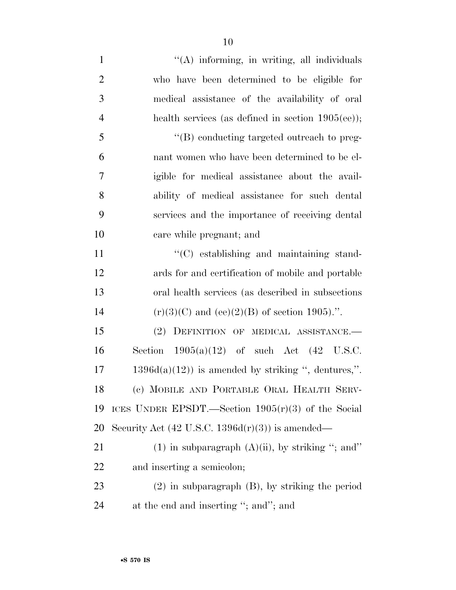| $\mathbf{1}$   | "(A) informing, in writing, all individuals                 |
|----------------|-------------------------------------------------------------|
| $\overline{2}$ | who have been determined to be eligible for                 |
| 3              | medical assistance of the availability of oral              |
| $\overline{4}$ | health services (as defined in section $1905(ee)$ );        |
| 5              | $\lq\lq (B)$ conducting targeted outreach to preg-          |
| 6              | nant women who have been determined to be el-               |
| 7              | igible for medical assistance about the avail-              |
| 8              | ability of medical assistance for such dental               |
| 9              | services and the importance of receiving dental             |
| 10             | care while pregnant; and                                    |
| 11             | $\cdot$ (C) establishing and maintaining stand-             |
| 12             | ards for and certification of mobile and portable           |
| 13             | oral health services (as described in subsections)          |
| 14             | $(r)(3)(C)$ and $(ee)(2)(B)$ of section 1905).".            |
| 15             | DEFINITION OF MEDICAL ASSISTANCE.-<br>(2)                   |
| 16             | Section $1905(a)(12)$ of such Act $(42 \text{ U.S.C.})$     |
| 17             | $1396d(a)(12)$ is amended by striking ", dentures,".        |
| 18             | (c) MOBILE AND PORTABLE ORAL HEALTH SERV-                   |
| 19             | ICES UNDER EPSDT.—Section $1905(r)(3)$ of the Social        |
| 20             | Security Act $(42 \text{ U.S.C. } 1396d(r)(3))$ is amended— |
| 21             | $(1)$ in subparagraph $(A)(ii)$ , by striking "; and"       |
| 22             | and inserting a semicolon;                                  |
| 23             | $(2)$ in subparagraph $(B)$ , by striking the period        |
| 24             | at the end and inserting "; and"; and                       |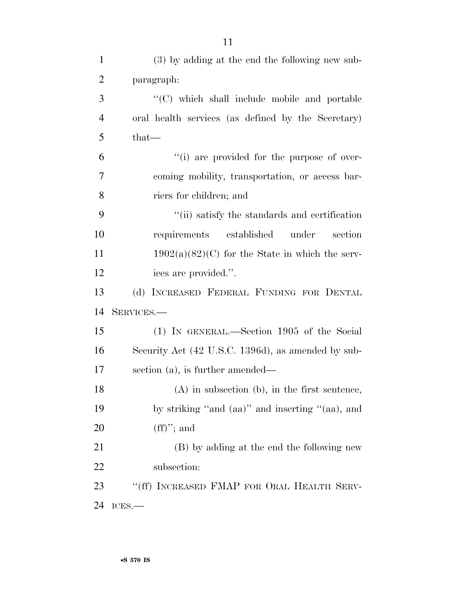| $\mathbf{1}$   | (3) by adding at the end the following new sub-    |
|----------------|----------------------------------------------------|
| $\overline{2}$ | paragraph:                                         |
| 3              | "(C) which shall include mobile and portable       |
| $\overline{4}$ | oral health services (as defined by the Secretary) |
| 5              | $that-$                                            |
| 6              | "(i) are provided for the purpose of over-         |
| 7              | coming mobility, transportation, or access bar-    |
| 8              | riers for children; and                            |
| 9              | "(ii) satisfy the standards and certification      |
| 10             | requirements established<br>under<br>section       |
| 11             | $1902(a)(82)(C)$ for the State in which the serv-  |
| 12             | ices are provided.".                               |
| 13             | INCREASED FEDERAL FUNDING FOR DENTAL<br>(d)        |
| 14             | SERVICES.-                                         |
| 15             | (1) IN GENERAL.—Section 1905 of the Social         |
| 16             | Security Act (42 U.S.C. 1396d), as amended by sub- |
| 17             | section $(a)$ , is further amended—                |
| 18             | $(A)$ in subsection $(b)$ , in the first sentence, |
| 19             | by striking "and (aa)" and inserting "(aa), and    |
| 20             | $(ff)$ "; and                                      |
| 21             | (B) by adding at the end the following new         |
| 22             | subsection:                                        |
| 23             | "(ff) INCREASED FMAP FOR ORAL HEALTH SERV-         |
| 24             | ICES.                                              |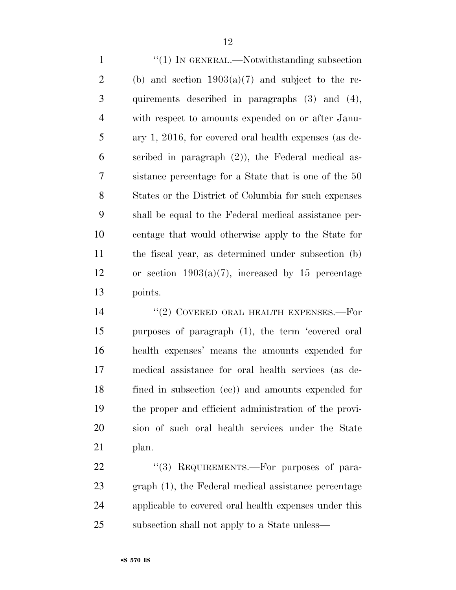1 "(1) IN GENERAL.—Notwithstanding subsection 2 (b) and section  $1903(a)(7)$  and subject to the re- quirements described in paragraphs (3) and (4), with respect to amounts expended on or after Janu- ary 1, 2016, for covered oral health expenses (as de- scribed in paragraph (2)), the Federal medical as- sistance percentage for a State that is one of the 50 States or the District of Columbia for such expenses shall be equal to the Federal medical assistance per- centage that would otherwise apply to the State for the fiscal year, as determined under subsection (b) or section 1903(a)(7), increased by 15 percentage points.

14 "(2) COVERED ORAL HEALTH EXPENSES.—For purposes of paragraph (1), the term 'covered oral health expenses' means the amounts expended for medical assistance for oral health services (as de- fined in subsection (ee)) and amounts expended for the proper and efficient administration of the provi- sion of such oral health services under the State plan.

22 "(3) REQUIREMENTS.—For purposes of para- graph (1), the Federal medical assistance percentage applicable to covered oral health expenses under this subsection shall not apply to a State unless—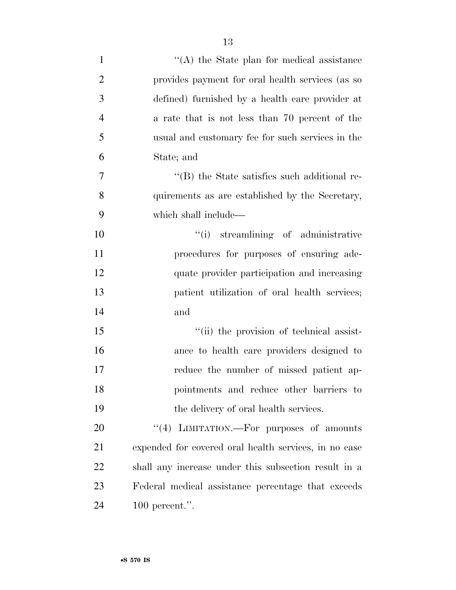| $\mathbf{1}$   | $\lq\lq$ the State plan for medical assistance        |
|----------------|-------------------------------------------------------|
| $\overline{2}$ | provides payment for oral health services (as so      |
| 3              | defined) furnished by a health care provider at       |
| $\overline{4}$ | a rate that is not less than 70 percent of the        |
| 5              | usual and customary fee for such services in the      |
| 6              | State; and                                            |
| $\overline{7}$ | $\lq$ (B) the State satisfies such additional re-     |
| 8              | quirements as are established by the Secretary,       |
| 9              | which shall include—                                  |
| 10             | "(i) streamlining of administrative                   |
| 11             | procedures for purposes of ensuring ade-              |
| 12             | quate provider participation and increasing           |
| 13             | patient utilization of oral health services;          |
| 14             | and                                                   |
| 15             | "(ii) the provision of technical assist-              |
| 16             | ance to health care providers designed to             |
| 17             | reduce the number of missed patient ap-               |
| 18             | pointments and reduce other barriers to               |
| 19             | the delivery of oral health services.                 |
| 20             | "(4) LIMITATION.—For purposes of amounts              |
| 21             | expended for covered oral health services, in no case |
| 22             | shall any increase under this subsection result in a  |
| 23             | Federal medical assistance percentage that exceeds    |
| 24             | 100 percent.".                                        |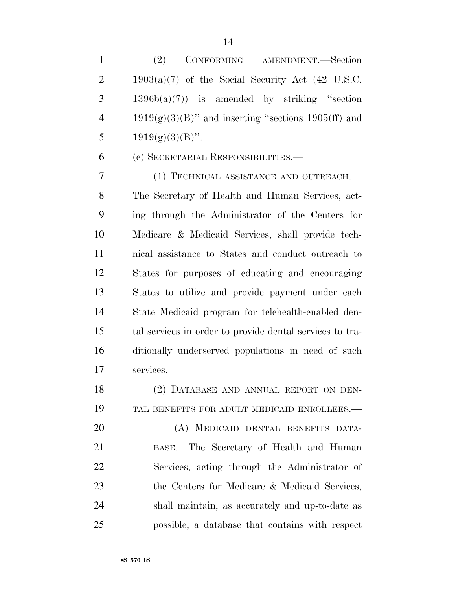(2) CONFORMING AMENDMENT.—Section 2 1903(a)(7) of the Social Security Act  $(42 \text{ U.S.C.})$  $3 \qquad 1396b(a)(7)$  is amended by striking "section 4 1919(g)(3)(B)" and inserting "sections 1905(ff) and 5  $1919(g)(3)(B)$ ".

(e) SECRETARIAL RESPONSIBILITIES.—

 (1) TECHNICAL ASSISTANCE AND OUTREACH.— The Secretary of Health and Human Services, act- ing through the Administrator of the Centers for Medicare & Medicaid Services, shall provide tech- nical assistance to States and conduct outreach to States for purposes of educating and encouraging States to utilize and provide payment under each State Medicaid program for telehealth-enabled den- tal services in order to provide dental services to tra- ditionally underserved populations in need of such services.

18 (2) DATABASE AND ANNUAL REPORT ON DEN- TAL BENEFITS FOR ADULT MEDICAID ENROLLEES.— (A) MEDICAID DENTAL BENEFITS DATA- BASE.—The Secretary of Health and Human Services, acting through the Administrator of the Centers for Medicare & Medicaid Services, shall maintain, as accurately and up-to-date as

possible, a database that contains with respect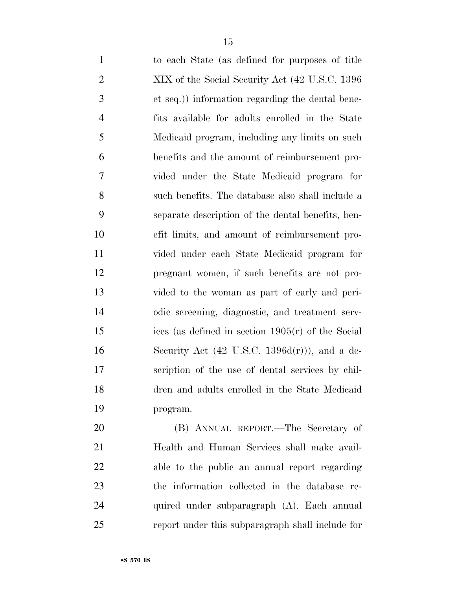| $\mathbf{1}$   | to each State (as defined for purposes of title          |
|----------------|----------------------------------------------------------|
| $\overline{2}$ | XIX of the Social Security Act (42 U.S.C. 1396)          |
| 3              | et seq.)) information regarding the dental bene-         |
| $\overline{4}$ | fits available for adults enrolled in the State          |
| 5              | Medicaid program, including any limits on such           |
| 6              | benefits and the amount of reimbursement pro-            |
| 7              | vided under the State Medicaid program for               |
| 8              | such benefits. The database also shall include a         |
| 9              | separate description of the dental benefits, ben-        |
| 10             | efit limits, and amount of reimbursement pro-            |
| 11             | vided under each State Medicaid program for              |
| 12             | pregnant women, if such benefits are not pro-            |
| 13             | vided to the woman as part of early and peri-            |
| 14             | odic screening, diagnostic, and treatment serv-          |
| 15             | ices (as defined in section $1905(r)$ of the Social      |
| 16             | Security Act $(42 \text{ U.S.C. } 1396d(r))$ , and a de- |
| 17             | scription of the use of dental services by chil-         |
| 18             | dren and adults enrolled in the State Medicaid           |
| 19             | program.                                                 |
|                |                                                          |

 (B) ANNUAL REPORT.—The Secretary of Health and Human Services shall make avail- able to the public an annual report regarding the information collected in the database re- quired under subparagraph (A). Each annual report under this subparagraph shall include for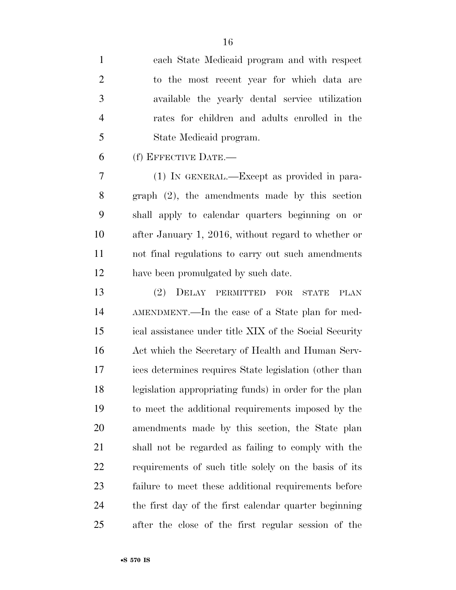| $\mathbf{1}$ | each State Medicaid program and with respect    |
|--------------|-------------------------------------------------|
| 2            | to the most recent year for which data are      |
| 3            | available the yearly dental service utilization |
| 4            | rates for children and adults enrolled in the   |
| 5            | State Medicaid program.                         |

(f) EFFECTIVE DATE.—

 (1) IN GENERAL.—Except as provided in para- graph (2), the amendments made by this section shall apply to calendar quarters beginning on or after January 1, 2016, without regard to whether or not final regulations to carry out such amendments have been promulgated by such date.

 (2) DELAY PERMITTED FOR STATE PLAN AMENDMENT.—In the case of a State plan for med- ical assistance under title XIX of the Social Security Act which the Secretary of Health and Human Serv- ices determines requires State legislation (other than legislation appropriating funds) in order for the plan to meet the additional requirements imposed by the amendments made by this section, the State plan shall not be regarded as failing to comply with the requirements of such title solely on the basis of its failure to meet these additional requirements before the first day of the first calendar quarter beginning after the close of the first regular session of the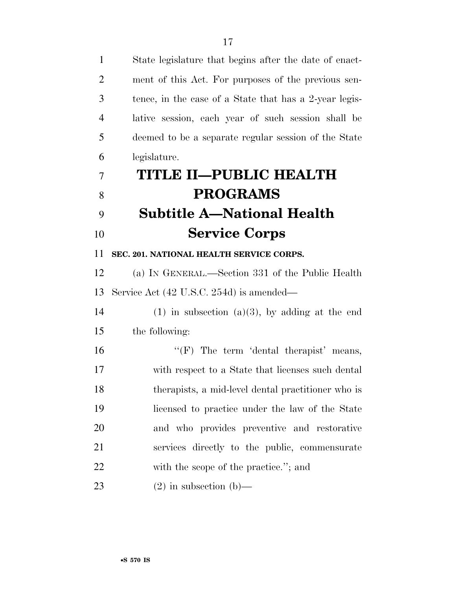| $\mathbf{1}$   | State legislature that begins after the date of enact- |
|----------------|--------------------------------------------------------|
| $\overline{2}$ | ment of this Act. For purposes of the previous sen-    |
| 3              | tence, in the case of a State that has a 2-year legis- |
| $\overline{4}$ | lative session, each year of such session shall be     |
| 5              | deemed to be a separate regular session of the State   |
| 6              | legislature.                                           |
| 7              | TITLE II-PUBLIC HEALTH                                 |
| 8              | <b>PROGRAMS</b>                                        |
| 9              | <b>Subtitle A—National Health</b>                      |
| 10             | <b>Service Corps</b>                                   |
| 11             | SEC. 201. NATIONAL HEALTH SERVICE CORPS.               |
| 12             | (a) IN GENERAL.—Section 331 of the Public Health       |
| 13             | Service Act (42 U.S.C. 254d) is amended—               |
| 14             | $(1)$ in subsection $(a)(3)$ , by adding at the end    |
| 15             | the following:                                         |
| 16             | " $(F)$ The term 'dental therapist' means,             |
| 17             | with respect to a State that licenses such dental      |
| 18             | therapists, a mid-level dental practitioner who is     |
| 19             | licensed to practice under the law of the State        |
| 20             | and who provides preventive and restorative            |
| 21             | services directly to the public, commensurate          |
| 22             | with the scope of the practice."; and                  |
| 23             | $(2)$ in subsection $(b)$ —                            |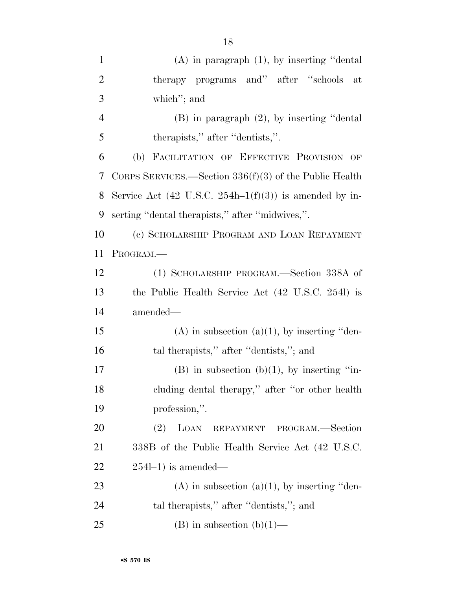| $\mathbf{1}$   | $(A)$ in paragraph $(1)$ , by inserting "dental"           |
|----------------|------------------------------------------------------------|
| $\overline{2}$ | therapy programs and" after "schools"<br>at                |
| 3              | which"; and                                                |
| $\overline{4}$ | $(B)$ in paragraph $(2)$ , by inserting "dental"           |
| 5              | therapists," after "dentists,".                            |
| 6              | (b) FACILITATION OF EFFECTIVE PROVISION OF                 |
| 7              | CORPS SERVICES.—Section $336(f)(3)$ of the Public Health   |
| 8              | Service Act (42 U.S.C. 254h–1 $(f)(3)$ ) is amended by in- |
| 9              | serting "dental therapists," after "midwives,".            |
| 10             | (c) SCHOLARSHIP PROGRAM AND LOAN REPAYMENT                 |
| 11             | PROGRAM.—                                                  |
| 12             | (1) SCHOLARSHIP PROGRAM.—Section 338A of                   |
| 13             | the Public Health Service Act (42 U.S.C. 2541) is          |
| 14             | amended—                                                   |
| 15             | $(A)$ in subsection $(a)(1)$ , by inserting "den-          |
| 16             | tal therapists," after "dentists,"; and                    |
| 17             | $(B)$ in subsection $(b)(1)$ , by inserting "in-           |
| 18             | cluding dental therapy," after "or other health            |
| 19             | profession,".                                              |
| <b>20</b>      | (2)<br>LOAN<br>REPAYMENT PROGRAM.-Section                  |
| 21             | 338B of the Public Health Service Act (42 U.S.C.           |
| 22             | $254l-1$ ) is amended—                                     |
| 23             | $(A)$ in subsection $(a)(1)$ , by inserting "den-          |
| 24             | tal therapists," after "dentists,"; and                    |
| 25             | (B) in subsection (b)(1)—                                  |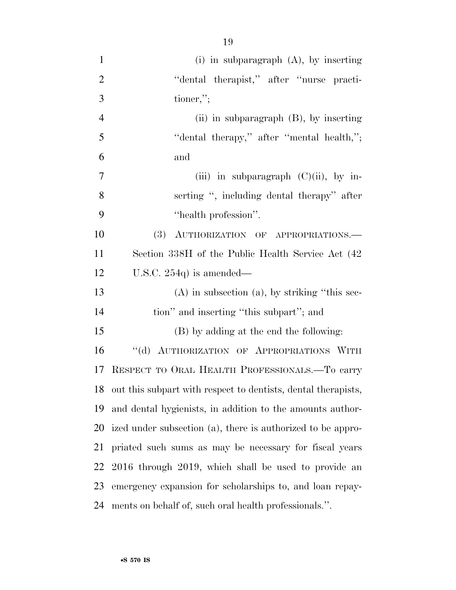| $\mathbf{1}$   | $(i)$ in subparagraph $(A)$ , by inserting                       |
|----------------|------------------------------------------------------------------|
| $\overline{2}$ | "dental therapist," after "nurse practi-                         |
| 3              | $\alpha$ tioner,";                                               |
| $\overline{4}$ | (ii) in subparagraph $(B)$ , by inserting                        |
| 5              | "dental therapy," after "mental health,";                        |
| 6              | and                                                              |
| $\overline{7}$ | (iii) in subparagraph $(C)(ii)$ , by in-                         |
| 8              | serting ", including dental therapy" after                       |
| 9              | "health profession".                                             |
| 10             | (3) AUTHORIZATION OF APPROPRIATIONS.                             |
| 11             | Section 338H of the Public Health Service Act (42)               |
| 12             | U.S.C. $254q$ is amended—                                        |
| 13             | $(A)$ in subsection $(a)$ , by striking "this sec-               |
| 14             | tion" and inserting "this subpart"; and                          |
| 15             | (B) by adding at the end the following:                          |
| 16             | "(d) AUTHORIZATION OF APPROPRIATIONS WITH                        |
| 17             | RESPECT TO ORAL HEALTH PROFESSIONALS.-To carry                   |
|                | 18 out this subpart with respect to dentists, dental therapists, |
| 19             | and dental hygienists, in addition to the amounts author-        |
| 20             | ized under subsection (a), there is authorized to be appro-      |
| 21             | priated such sums as may be necessary for fiscal years           |
| 22             | 2016 through 2019, which shall be used to provide an             |
| 23             | emergency expansion for scholarships to, and loan repay-         |
| 24             | ments on behalf of, such oral health professionals.".            |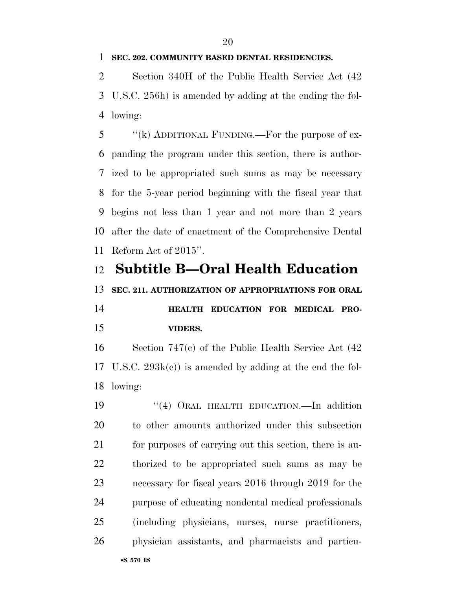### **SEC. 202. COMMUNITY BASED DENTAL RESIDENCIES.**

 Section 340H of the Public Health Service Act (42 U.S.C. 256h) is amended by adding at the ending the fol-lowing:

5 "(k) ADDITIONAL FUNDING.—For the purpose of ex- panding the program under this section, there is author- ized to be appropriated such sums as may be necessary for the 5-year period beginning with the fiscal year that begins not less than 1 year and not more than 2 years after the date of enactment of the Comprehensive Dental Reform Act of 2015''.

## **Subtitle B—Oral Health Education**

**SEC. 211. AUTHORIZATION OF APPROPRIATIONS FOR ORAL** 

## **HEALTH EDUCATION FOR MEDICAL PRO-VIDERS.**

 Section 747(c) of the Public Health Service Act (42 U.S.C. 293k(c)) is amended by adding at the end the fol-lowing:

19 "(4) ORAL HEALTH EDUCATION.—In addition to other amounts authorized under this subsection for purposes of carrying out this section, there is au- thorized to be appropriated such sums as may be necessary for fiscal years 2016 through 2019 for the purpose of educating nondental medical professionals (including physicians, nurses, nurse practitioners, physician assistants, and pharmacists and particu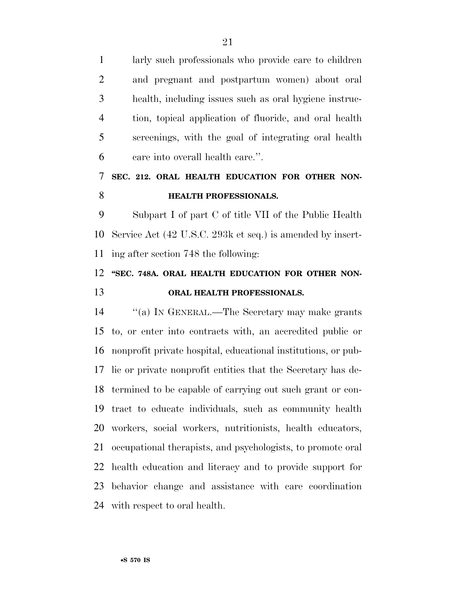larly such professionals who provide care to children and pregnant and postpartum women) about oral health, including issues such as oral hygiene instruc- tion, topical application of fluoride, and oral health screenings, with the goal of integrating oral health care into overall health care.''.

### **SEC. 212. ORAL HEALTH EDUCATION FOR OTHER NON-HEALTH PROFESSIONALS.**

 Subpart I of part C of title VII of the Public Health Service Act (42 U.S.C. 293k et seq.) is amended by insert-ing after section 748 the following:

### 12 "SEC. 748A. ORAL HEALTH EDUCATION FOR OTHER NON-**ORAL HEALTH PROFESSIONALS.**

 ''(a) IN GENERAL.—The Secretary may make grants to, or enter into contracts with, an accredited public or nonprofit private hospital, educational institutions, or pub- lic or private nonprofit entities that the Secretary has de- termined to be capable of carrying out such grant or con- tract to educate individuals, such as community health workers, social workers, nutritionists, health educators, occupational therapists, and psychologists, to promote oral health education and literacy and to provide support for behavior change and assistance with care coordination with respect to oral health.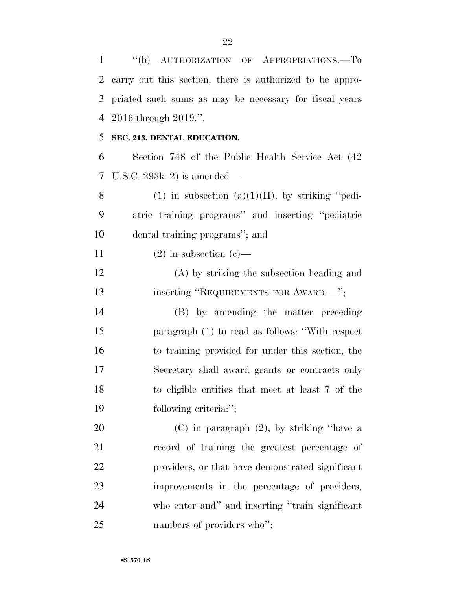''(b) AUTHORIZATION OF APPROPRIATIONS.—To carry out this section, there is authorized to be appro- priated such sums as may be necessary for fiscal years 2016 through 2019.''.

### **SEC. 213. DENTAL EDUCATION.**

 Section 748 of the Public Health Service Act (42 U.S.C. 293k–2) is amended—

8 (1) in subsection  $(a)(1)(H)$ , by striking "pedi- atric training programs'' and inserting ''pediatric dental training programs''; and

11 (2) in subsection (c)—

 (A) by striking the subsection heading and 13 inserting "REQUIREMENTS FOR AWARD.—";

 (B) by amending the matter preceding paragraph (1) to read as follows: ''With respect to training provided for under this section, the Secretary shall award grants or contracts only to eligible entities that meet at least 7 of the following criteria:'';

 (C) in paragraph (2), by striking ''have a record of training the greatest percentage of providers, or that have demonstrated significant improvements in the percentage of providers, who enter and'' and inserting ''train significant 25 numbers of providers who";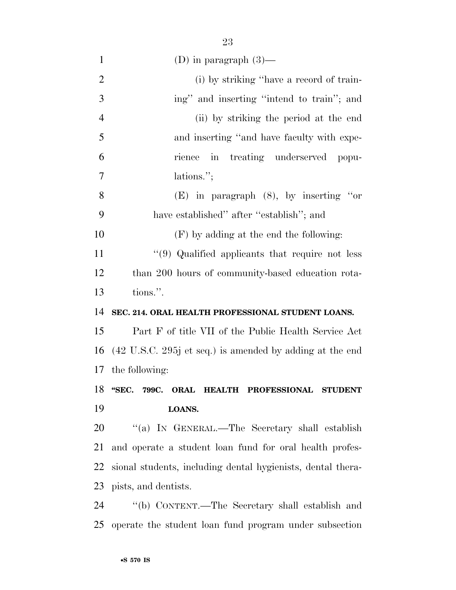| $\mathbf{1}$   | (D) in paragraph $(3)$ —                                                    |
|----------------|-----------------------------------------------------------------------------|
| $\overline{2}$ | (i) by striking "have a record of train-                                    |
| 3              | ing" and inserting "intend to train"; and                                   |
| $\overline{4}$ | (ii) by striking the period at the end                                      |
| 5              | and inserting "and have faculty with expe-                                  |
| 6              | rience in treating underserved popu-                                        |
| $\tau$         | lations.";                                                                  |
| 8              | $(E)$ in paragraph $(8)$ , by inserting "or                                 |
| 9              | have established" after "establish"; and                                    |
| 10             | $(F)$ by adding at the end the following:                                   |
| 11             | "(9) Qualified applicants that require not less                             |
| 12             | than 200 hours of community-based education rota-                           |
| 13             | tions.".                                                                    |
| 14             | SEC. 214. ORAL HEALTH PROFESSIONAL STUDENT LOANS.                           |
| 15             | Part F of title VII of the Public Health Service Act                        |
| 16             | $(42 \text{ U.S.C. } 295j \text{ et seq.})$ is amended by adding at the end |
|                | 17 the following:                                                           |
| 18             | "SEC. 799C. ORAL HEALTH PROFESSIONAL STUDENT                                |
| 19             | LOANS.                                                                      |
| 20             | "(a) IN GENERAL.—The Secretary shall establish                              |
| 21             | and operate a student loan fund for oral health profes-                     |
| 22             | sional students, including dental hygienists, dental thera-                 |
| 23             | pists, and dentists.                                                        |
| 24             | "(b) CONTENT.—The Secretary shall establish and                             |
| 25             | operate the student loan fund program under subsection                      |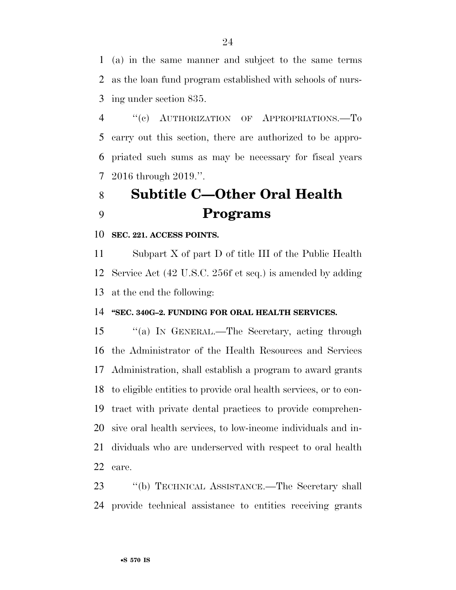(a) in the same manner and subject to the same terms as the loan fund program established with schools of nurs-ing under section 835.

4 "(c) AUTHORIZATION OF APPROPRIATIONS.—To carry out this section, there are authorized to be appro- priated such sums as may be necessary for fiscal years 2016 through 2019.''.

# **Subtitle C—Other Oral Health Programs**

**SEC. 221. ACCESS POINTS.** 

 Subpart X of part D of title III of the Public Health Service Act (42 U.S.C. 256f et seq.) is amended by adding at the end the following:

### **''SEC. 340G–2. FUNDING FOR ORAL HEALTH SERVICES.**

 ''(a) IN GENERAL.—The Secretary, acting through the Administrator of the Health Resources and Services Administration, shall establish a program to award grants to eligible entities to provide oral health services, or to con- tract with private dental practices to provide comprehen- sive oral health services, to low-income individuals and in- dividuals who are underserved with respect to oral health care.

 ''(b) TECHNICAL ASSISTANCE.—The Secretary shall provide technical assistance to entities receiving grants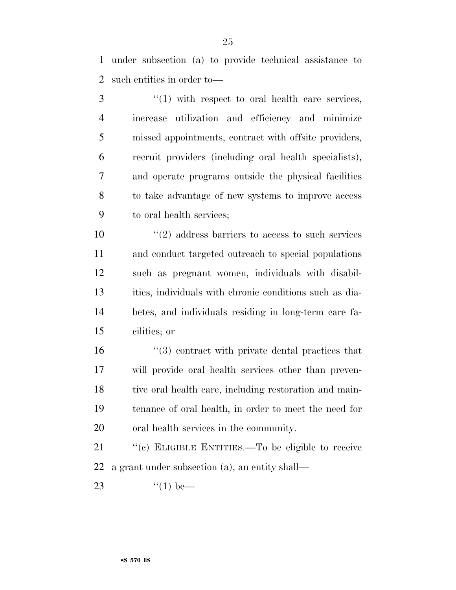under subsection (a) to provide technical assistance to such entities in order to—

 ''(1) with respect to oral health care services, increase utilization and efficiency and minimize missed appointments, contract with offsite providers, recruit providers (including oral health specialists), and operate programs outside the physical facilities to take advantage of new systems to improve access to oral health services;

 ''(2) address barriers to access to such services and conduct targeted outreach to special populations such as pregnant women, individuals with disabil- ities, individuals with chronic conditions such as dia- betes, and individuals residing in long-term care fa-cilities; or

 ''(3) contract with private dental practices that will provide oral health services other than preven-18 tive oral health care, including restoration and main- tenance of oral health, in order to meet the need for oral health services in the community.

 ''(c) ELIGIBLE ENTITIES.—To be eligible to receive a grant under subsection (a), an entity shall—

23  $\frac{4}{1}$  be—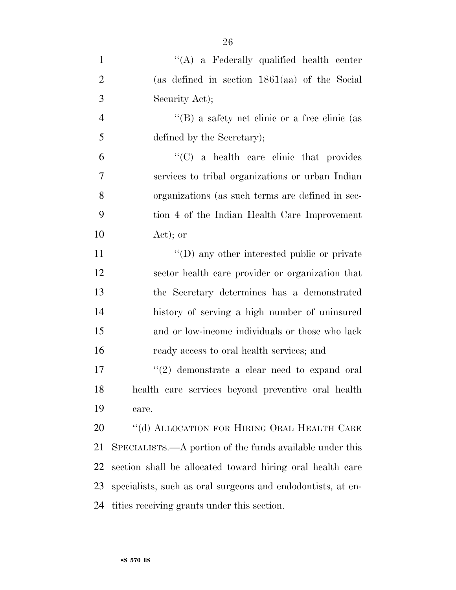| $\mathbf{1}$   | "(A) a Federally qualified health center                    |
|----------------|-------------------------------------------------------------|
| $\overline{2}$ | (as defined in section $1861(aa)$ of the Social             |
| 3              | Security Act);                                              |
| $\overline{4}$ | $\lq\lq (B)$ a safety net clinic or a free clinic (as       |
| 5              | defined by the Secretary);                                  |
| 6              | $\lq\lq$ (C) a health care clinic that provides             |
| 7              | services to tribal organizations or urban Indian            |
| 8              | organizations (as such terms are defined in sec-            |
| 9              | tion 4 of the Indian Health Care Improvement                |
| 10             | $Act)$ ; or                                                 |
| 11             | $\lq\lq$ (D) any other interested public or private         |
| 12             | sector health care provider or organization that            |
| 13             | the Secretary determines has a demonstrated                 |
| 14             | history of serving a high number of uninsured               |
| 15             | and or low-income individuals or those who lack             |
| 16             | ready access to oral health services; and                   |
| 17             | $(2)$ demonstrate a clear need to expand oral               |
| 18             | health care services beyond preventive oral health          |
| 19             | care.                                                       |
| 20             | "(d) ALLOCATION FOR HIRING ORAL HEALTH CARE                 |
| 21             | SPECIALISTS.—A portion of the funds available under this    |
| 22             | section shall be allocated toward hiring oral health care   |
| 23             | specialists, such as oral surgeons and endodontists, at en- |
| 24             | tities receiving grants under this section.                 |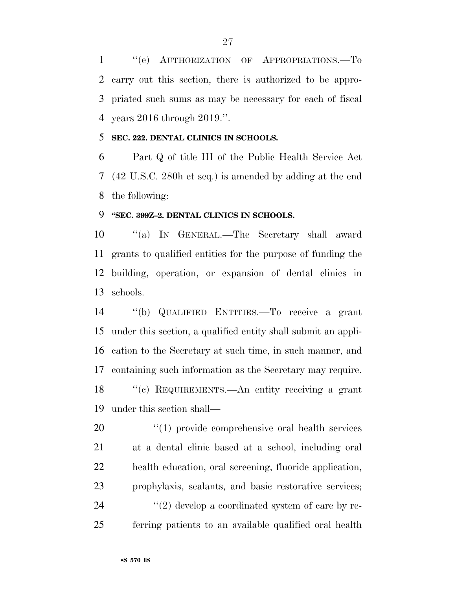''(e) AUTHORIZATION OF APPROPRIATIONS.—To carry out this section, there is authorized to be appro- priated such sums as may be necessary for each of fiscal years 2016 through 2019.''.

### **SEC. 222. DENTAL CLINICS IN SCHOOLS.**

 Part Q of title III of the Public Health Service Act (42 U.S.C. 280h et seq.) is amended by adding at the end the following:

### **''SEC. 399Z–2. DENTAL CLINICS IN SCHOOLS.**

 ''(a) IN GENERAL.—The Secretary shall award grants to qualified entities for the purpose of funding the building, operation, or expansion of dental clinics in schools.

 ''(b) QUALIFIED ENTITIES.—To receive a grant under this section, a qualified entity shall submit an appli- cation to the Secretary at such time, in such manner, and containing such information as the Secretary may require. ''(c) REQUIREMENTS.—An entity receiving a grant under this section shall—

 $\frac{1}{20}$  (1) provide comprehensive oral health services at a dental clinic based at a school, including oral health education, oral screening, fluoride application, prophylaxis, sealants, and basic restorative services;  $(2)$  develop a coordinated system of care by re-ferring patients to an available qualified oral health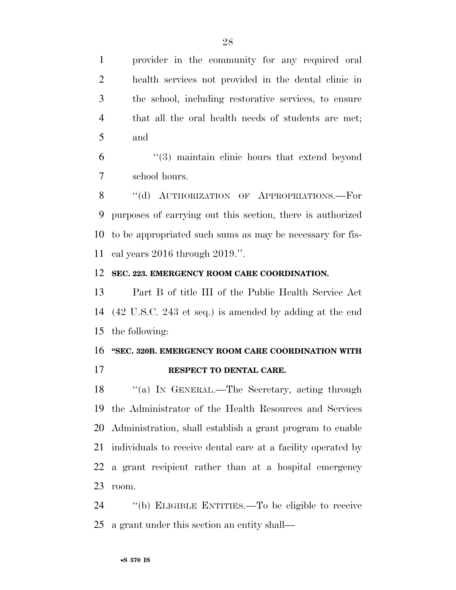provider in the community for any required oral health services not provided in the dental clinic in the school, including restorative services, to ensure that all the oral health needs of students are met; and

 ''(3) maintain clinic hours that extend beyond school hours.

8 "(d) AUTHORIZATION OF APPROPRIATIONS.—For purposes of carrying out this section, there is authorized to be appropriated such sums as may be necessary for fis-cal years 2016 through 2019.''.

### **SEC. 223. EMERGENCY ROOM CARE COORDINATION.**

 Part B of title III of the Public Health Service Act (42 U.S.C. 243 et seq.) is amended by adding at the end the following:

### **''SEC. 320B. EMERGENCY ROOM CARE COORDINATION WITH**

**RESPECT TO DENTAL CARE.** 

 ''(a) IN GENERAL.—The Secretary, acting through the Administrator of the Health Resources and Services Administration, shall establish a grant program to enable individuals to receive dental care at a facility operated by a grant recipient rather than at a hospital emergency room.

 ''(b) ELIGIBLE ENTITIES.—To be eligible to receive a grant under this section an entity shall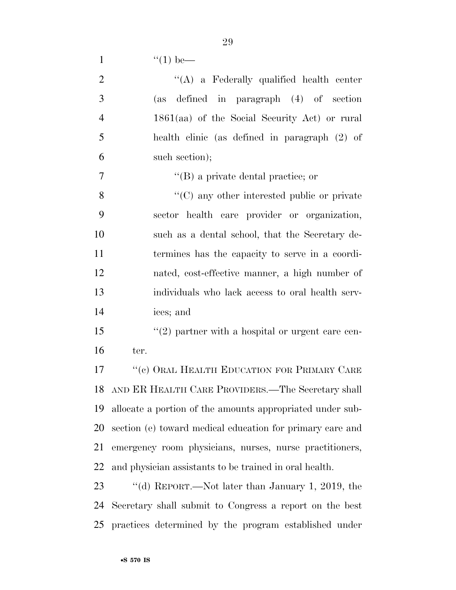1  $"(1)$  be—

| $\overline{2}$ | $\lq\lq$ a Federally qualified health center              |
|----------------|-----------------------------------------------------------|
| 3              | (as defined in paragraph (4) of section                   |
| $\overline{4}$ | $1861(aa)$ of the Social Security Act) or rural           |
| 5              | health clinic (as defined in paragraph (2) of             |
| 6              | such section);                                            |
| 7              | $\lq\lq$ (B) a private dental practice; or                |
| 8              | $\cdot$ (C) any other interested public or private        |
| 9              | sector health care provider or organization,              |
| 10             | such as a dental school, that the Secretary de-           |
| 11             | termines has the capacity to serve in a coordi-           |
| 12             | nated, cost-effective manner, a high number of            |
| 13             | individuals who lack access to oral health serv-          |
| 14             | ices; and                                                 |
| 15             | $\lq(2)$ partner with a hospital or urgent care cen-      |
| 16             | ter.                                                      |
| 17             | "(c) ORAL HEALTH EDUCATION FOR PRIMARY CARE               |
| 18             | AND ER HEALTH CARE PROVIDERS.—The Secretary shall         |
| 19             | allocate a portion of the amounts appropriated under sub- |
| 20             | section (e) toward medical education for primary care and |
| 21             | emergency room physicians, nurses, nurse practitioners,   |
| 22             | and physician assistants to be trained in oral health.    |
| 23             | "(d) REPORT.—Not later than January 1, 2019, the          |
| 24             | Secretary shall submit to Congress a report on the best   |

practices determined by the program established under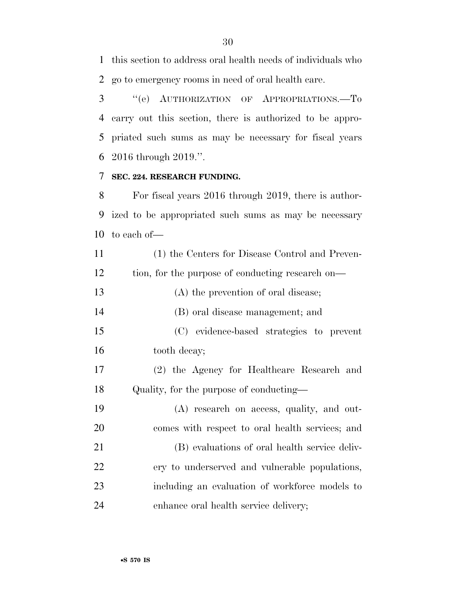this section to address oral health needs of individuals who go to emergency rooms in need of oral health care.

 ''(e) AUTHORIZATION OF APPROPRIATIONS.—To carry out this section, there is authorized to be appro- priated such sums as may be necessary for fiscal years 2016 through 2019.''.

### **SEC. 224. RESEARCH FUNDING.**

 For fiscal years 2016 through 2019, there is author- ized to be appropriated such sums as may be necessary to each of—

| 11 | (1) the Centers for Disease Control and Preven-  |
|----|--------------------------------------------------|
| 12 | tion, for the purpose of conducting research on— |
| 13 | (A) the prevention of oral disease;              |
| 14 | (B) oral disease management; and                 |
| 15 | (C) evidence-based strategies to prevent         |
| 16 | tooth decay;                                     |
| 17 | (2) the Agency for Healthcare Research and       |
| 18 | Quality, for the purpose of conducting—          |
| 19 | (A) research on access, quality, and out-        |
| 20 | comes with respect to oral health services; and  |
| 21 | (B) evaluations of oral health service deliv-    |
| 22 | ery to underserved and vulnerable populations,   |
| 23 | including an evaluation of workforce models to   |
| 24 | enhance oral health service delivery;            |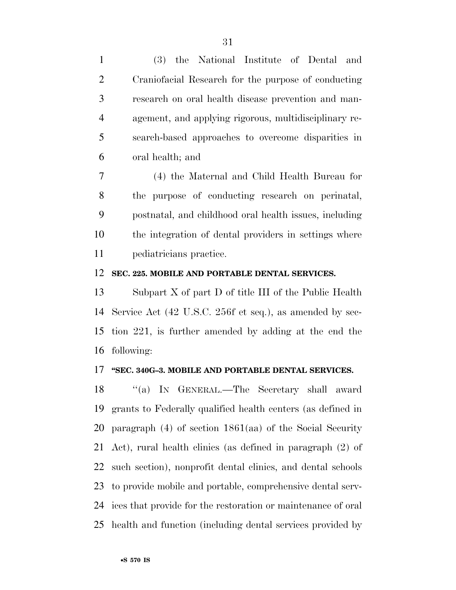(3) the National Institute of Dental and

| $\overline{2}$ | Craniofacial Research for the purpose of conducting          |
|----------------|--------------------------------------------------------------|
| 3              | research on oral health disease prevention and man-          |
|                |                                                              |
| $\overline{4}$ | agement, and applying rigorous, multidisciplinary re-        |
| 5              | search-based approaches to overcome disparities in           |
| 6              | oral health; and                                             |
| 7              | (4) the Maternal and Child Health Bureau for                 |
| 8              | the purpose of conducting research on perinatal,             |
| 9              | postnatal, and childhood oral health issues, including       |
| 10             | the integration of dental providers in settings where        |
| 11             | pediatricians practice.                                      |
| 12             | SEC. 225. MOBILE AND PORTABLE DENTAL SERVICES.               |
| 13             | Subpart $X$ of part $D$ of title III of the Public Health    |
| 14             | Service Act (42 U.S.C. 256f et seq.), as amended by sec-     |
| 15             | tion 221, is further amended by adding at the end the        |
| 16             | following:                                                   |
|                | 17 "SEC. 340G-3. MOBILE AND PORTABLE DENTAL SERVICES.        |
| 18             | "(a) IN GENERAL.—The Secretary shall award                   |
| 19             | grants to Federally qualified health centers (as defined in  |
| 20             | paragraph $(4)$ of section 1861(aa) of the Social Security   |
| 21             | Act), rural health clinics (as defined in paragraph (2) of   |
| 22             | such section), nonprofit dental clinics, and dental schools  |
| 23             | to provide mobile and portable, comprehensive dental serv-   |
| 24             | ices that provide for the restoration or maintenance of oral |

health and function (including dental services provided by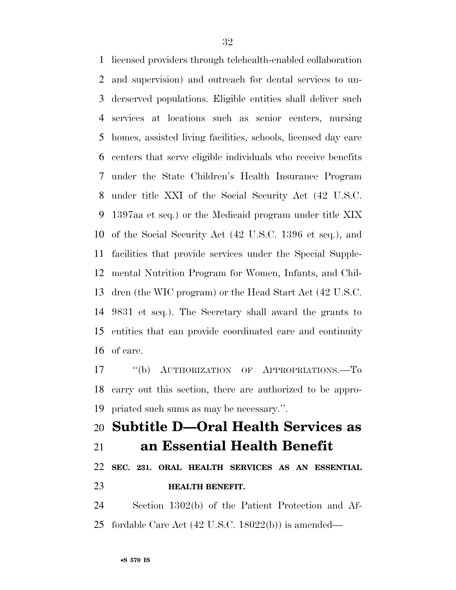licensed providers through telehealth-enabled collaboration and supervision) and outreach for dental services to un- derserved populations. Eligible entities shall deliver such services at locations such as senior centers, nursing homes, assisted living facilities, schools, licensed day care centers that serve eligible individuals who receive benefits under the State Children's Health Insurance Program under title XXI of the Social Security Act (42 U.S.C. 1397aa et seq.) or the Medicaid program under title XIX of the Social Security Act (42 U.S.C. 1396 et seq.), and facilities that provide services under the Special Supple- mental Nutrition Program for Women, Infants, and Chil- dren (the WIC program) or the Head Start Act (42 U.S.C. 9831 et seq.). The Secretary shall award the grants to entities that can provide coordinated care and continuity of care.

 ''(b) AUTHORIZATION OF APPROPRIATIONS.—To carry out this section, there are authorized to be appro-priated such sums as may be necessary.''.

## **Subtitle D—Oral Health Services as an Essential Health Benefit**

## **SEC. 231. ORAL HEALTH SERVICES AS AN ESSENTIAL HEALTH BENEFIT.**

 Section 1302(b) of the Patient Protection and Af-fordable Care Act (42 U.S.C. 18022(b)) is amended—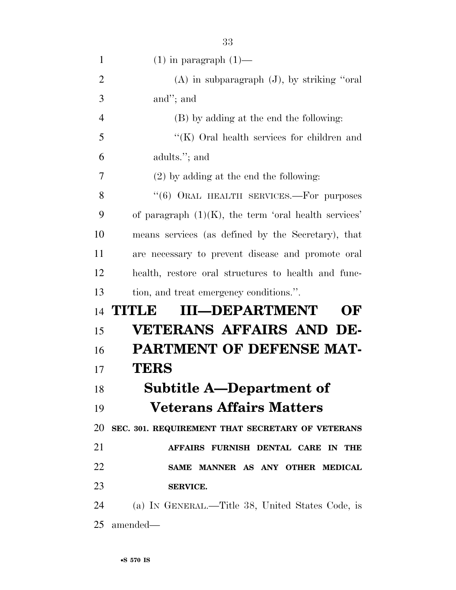| $\mathbf{1}$   | $(1)$ in paragraph $(1)$ —                              |
|----------------|---------------------------------------------------------|
| $\overline{2}$ | $(A)$ in subparagraph $(J)$ , by striking "oral"        |
| 3              | and"; and                                               |
| $\overline{4}$ | (B) by adding at the end the following:                 |
| 5              | "(K) Oral health services for children and              |
| 6              | adults."; and                                           |
| 7              | $(2)$ by adding at the end the following:               |
| 8              | $(6)$ ORAL HEALTH SERVICES.—For purposes                |
| 9              | of paragraph $(1)(K)$ , the term 'oral health services' |
| 10             | means services (as defined by the Secretary), that      |
| 11             | are necessary to prevent disease and promote oral       |
| 12             | health, restore oral structures to health and func-     |
| 13             | tion, and treat emergency conditions.".                 |
| 14             | <b>III-DEPARTMENT</b><br>TITUE<br>OF                    |
| 15             | <b>VETERANS AFFAIRS AND DE-</b>                         |
| 16             | <b>PARTMENT OF DEFENSE MAT-</b>                         |
| 17             | TERS                                                    |
| 18             | <b>Subtitle A-Department of</b>                         |
| 19             | <b>Veterans Affairs Matters</b>                         |
| 20             | SEC. 301. REQUIREMENT THAT SECRETARY OF VETERANS        |
| 21             | AFFAIRS FURNISH DENTAL CARE IN THE                      |
| 22             | SAME MANNER AS ANY OTHER MEDICAL                        |
| 23             | <b>SERVICE.</b>                                         |
| 24             | (a) IN GENERAL.—Title 38, United States Code, is        |
| 25             | amended—                                                |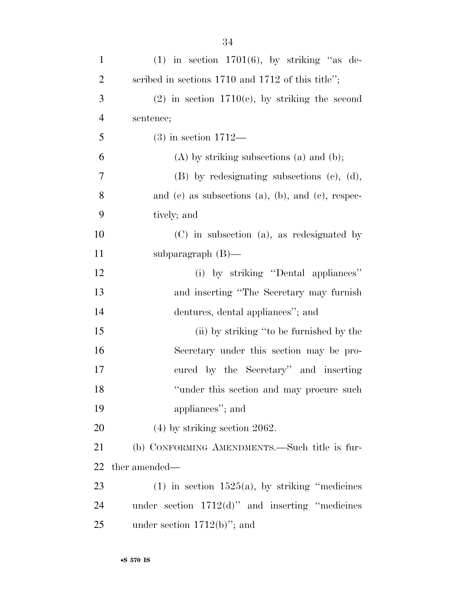| $\mathbf{1}$   | $(1)$ in section 1701 $(6)$ , by striking "as de-     |
|----------------|-------------------------------------------------------|
| $\overline{2}$ | scribed in sections $1710$ and $1712$ of this title"; |
| 3              | $(2)$ in section 1710(c), by striking the second      |
| $\overline{4}$ | sentence;                                             |
| 5              | $(3)$ in section 1712—                                |
| 6              | $(A)$ by striking subsections $(a)$ and $(b)$ ;       |
| 7              | $(B)$ by redesignating subsections $(c)$ , $(d)$ ,    |
| 8              | and (e) as subsections (a), (b), and (c), respec-     |
| 9              | tively; and                                           |
| 10             | $(C)$ in subsection (a), as redesignated by           |
| 11             | subparagraph $(B)$ —                                  |
| 12             | (i) by striking "Dental appliances"                   |
| 13             | and inserting "The Secretary may furnish              |
| 14             | dentures, dental appliances"; and                     |
| 15             | (ii) by striking "to be furnished by the              |
| 16             | Secretary under this section may be pro-              |
| 17             | cured by the Secretary" and inserting                 |
| 18             | "under this section and may procure such              |
| 19             | appliances"; and                                      |
| 20             | $(4)$ by striking section 2062.                       |
| 21             | (b) CONFORMING AMENDMENTS.—Such title is fur-         |
| 22             | ther amended—                                         |
| 23             | $(1)$ in section 1525(a), by striking "medicines"     |
| 24             | under section $1712(d)$ " and inserting "medicines"   |
| 25             | under section $1712(b)$ "; and                        |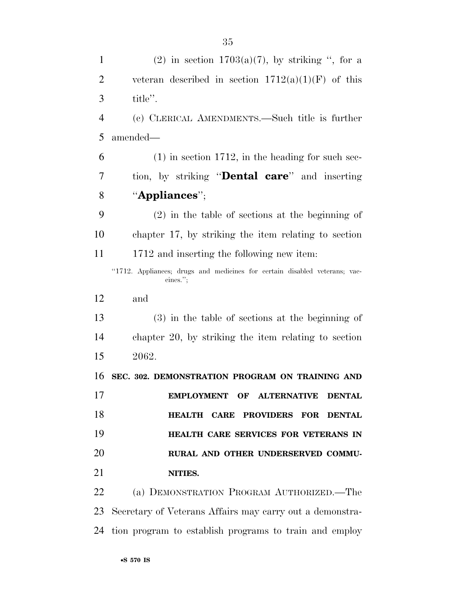| $\mathbf{1}$   | (2) in section $1703(a)(7)$ , by striking ", for a                                     |
|----------------|----------------------------------------------------------------------------------------|
| $\overline{2}$ | veteran described in section $1712(a)(1)(F)$ of this                                   |
| 3              | title".                                                                                |
| $\overline{4}$ | (c) CLERICAL AMENDMENTS.—Such title is further                                         |
| 5              | amended—                                                                               |
| 6              | $(1)$ in section 1712, in the heading for such sec-                                    |
| 7              | tion, by striking " <b>Dental care</b> " and inserting                                 |
| 8              | "Appliances";                                                                          |
| 9              | $(2)$ in the table of sections at the beginning of                                     |
| 10             | chapter 17, by striking the item relating to section                                   |
| 11             | 1712 and inserting the following new item:                                             |
|                | "1712. Appliances; drugs and medicines for certain disabled veterans; vac-<br>cines."; |
| 12             | and                                                                                    |
| 13             | $(3)$ in the table of sections at the beginning of                                     |
| 14             | chapter 20, by striking the item relating to section                                   |
| 15             | 2062.                                                                                  |
| 16             | SEC. 302. DEMONSTRATION PROGRAM ON TRAINING AND                                        |
| 17             | EMPLOYMENT OF ALTERNATIVE DENTAL                                                       |
| 18             | HEALTH CARE PROVIDERS FOR DENTAL                                                       |
| 19             | HEALTH CARE SERVICES FOR VETERANS IN                                                   |
| 20             | RURAL AND OTHER UNDERSERVED COMMU-                                                     |
| 21             | NITIES.                                                                                |
| 22             | (a) DEMONSTRATION PROGRAM AUTHORIZED.—The                                              |
| 23             | Secretary of Veterans Affairs may carry out a demonstra-                               |

tion program to establish programs to train and employ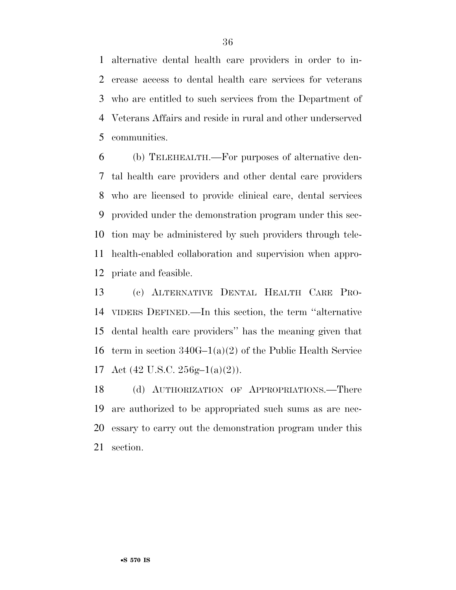alternative dental health care providers in order to in- crease access to dental health care services for veterans who are entitled to such services from the Department of Veterans Affairs and reside in rural and other underserved communities.

 (b) TELEHEALTH.—For purposes of alternative den- tal health care providers and other dental care providers who are licensed to provide clinical care, dental services provided under the demonstration program under this sec- tion may be administered by such providers through tele- health-enabled collaboration and supervision when appro-priate and feasible.

 (c) ALTERNATIVE DENTAL HEALTH CARE PRO- VIDERS DEFINED.—In this section, the term ''alternative dental health care providers'' has the meaning given that term in section 340G–1(a)(2) of the Public Health Service 17 Act  $(42 \text{ U.S.C. } 256 \text{g} - 1(a)(2))$ .

 (d) AUTHORIZATION OF APPROPRIATIONS.—There are authorized to be appropriated such sums as are nec- essary to carry out the demonstration program under this section.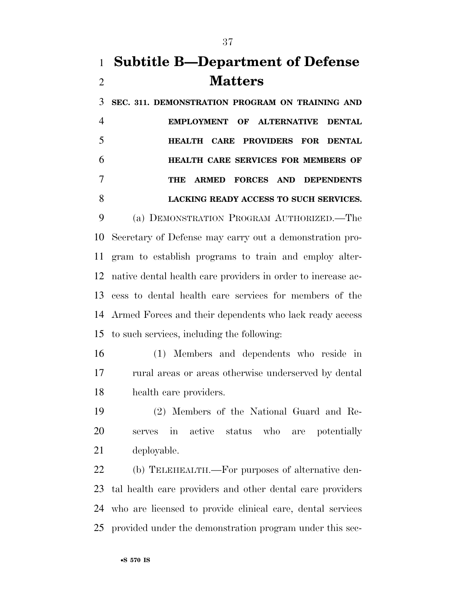# **Subtitle B—Department of Defense Matters**

 **SEC. 311. DEMONSTRATION PROGRAM ON TRAINING AND EMPLOYMENT OF ALTERNATIVE DENTAL HEALTH CARE PROVIDERS FOR DENTAL HEALTH CARE SERVICES FOR MEMBERS OF THE ARMED FORCES AND DEPENDENTS LACKING READY ACCESS TO SUCH SERVICES.** 

 (a) DEMONSTRATION PROGRAM AUTHORIZED.—The Secretary of Defense may carry out a demonstration pro- gram to establish programs to train and employ alter- native dental health care providers in order to increase ac- cess to dental health care services for members of the Armed Forces and their dependents who lack ready access to such services, including the following:

 (1) Members and dependents who reside in rural areas or areas otherwise underserved by dental health care providers.

 (2) Members of the National Guard and Re- serves in active status who are potentially deployable.

 (b) TELEHEALTH.—For purposes of alternative den- tal health care providers and other dental care providers who are licensed to provide clinical care, dental services provided under the demonstration program under this sec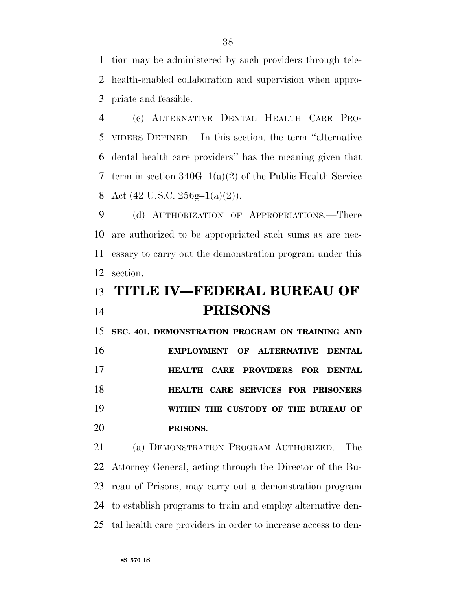tion may be administered by such providers through tele- health-enabled collaboration and supervision when appro-priate and feasible.

 (c) ALTERNATIVE DENTAL HEALTH CARE PRO- VIDERS DEFINED.—In this section, the term ''alternative dental health care providers'' has the meaning given that term in section 340G–1(a)(2) of the Public Health Service 8 Act  $(42 \text{ U.S.C. } 256 \text{g} - 1(a)(2))$ .

 (d) AUTHORIZATION OF APPROPRIATIONS.—There are authorized to be appropriated such sums as are nec- essary to carry out the demonstration program under this section.

# **TITLE IV—FEDERAL BUREAU OF PRISONS**

 **SEC. 401. DEMONSTRATION PROGRAM ON TRAINING AND EMPLOYMENT OF ALTERNATIVE DENTAL HEALTH CARE PROVIDERS FOR DENTAL HEALTH CARE SERVICES FOR PRISONERS WITHIN THE CUSTODY OF THE BUREAU OF PRISONS.** 

 (a) DEMONSTRATION PROGRAM AUTHORIZED.—The Attorney General, acting through the Director of the Bu- reau of Prisons, may carry out a demonstration program to establish programs to train and employ alternative den-tal health care providers in order to increase access to den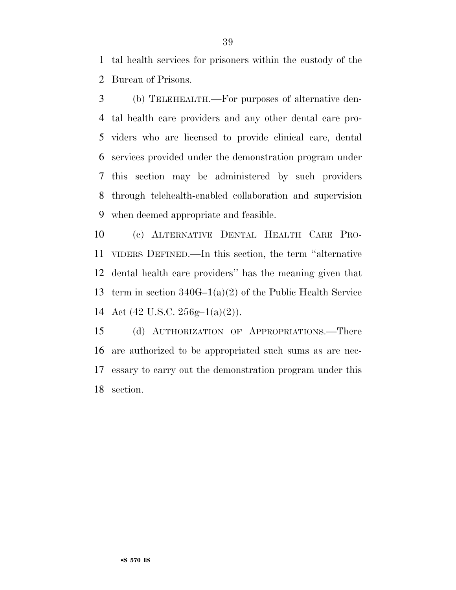tal health services for prisoners within the custody of the Bureau of Prisons.

 (b) TELEHEALTH.—For purposes of alternative den- tal health care providers and any other dental care pro- viders who are licensed to provide clinical care, dental services provided under the demonstration program under this section may be administered by such providers through telehealth-enabled collaboration and supervision when deemed appropriate and feasible.

 (c) ALTERNATIVE DENTAL HEALTH CARE PRO- VIDERS DEFINED.—In this section, the term ''alternative dental health care providers'' has the meaning given that term in section 340G–1(a)(2) of the Public Health Service Act (42 U.S.C. 256g–1(a)(2)).

 (d) AUTHORIZATION OF APPROPRIATIONS.—There are authorized to be appropriated such sums as are nec- essary to carry out the demonstration program under this section.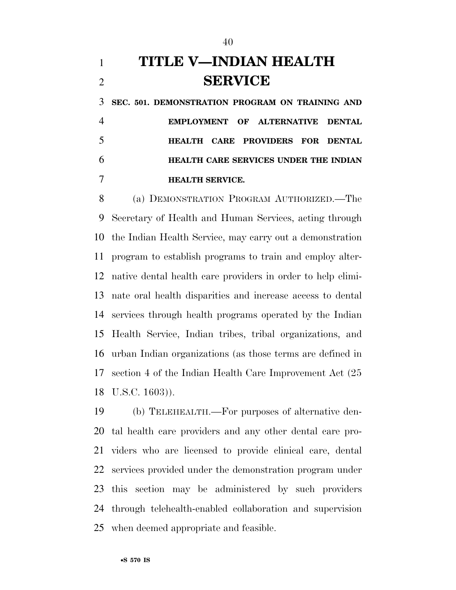# **TITLE V—INDIAN HEALTH SERVICE**

 **SEC. 501. DEMONSTRATION PROGRAM ON TRAINING AND EMPLOYMENT OF ALTERNATIVE DENTAL HEALTH CARE PROVIDERS FOR DENTAL HEALTH CARE SERVICES UNDER THE INDIAN HEALTH SERVICE.** 

 (a) DEMONSTRATION PROGRAM AUTHORIZED.—The Secretary of Health and Human Services, acting through the Indian Health Service, may carry out a demonstration program to establish programs to train and employ alter- native dental health care providers in order to help elimi- nate oral health disparities and increase access to dental services through health programs operated by the Indian Health Service, Indian tribes, tribal organizations, and urban Indian organizations (as those terms are defined in section 4 of the Indian Health Care Improvement Act (25 U.S.C. 1603)).

 (b) TELEHEALTH.—For purposes of alternative den- tal health care providers and any other dental care pro- viders who are licensed to provide clinical care, dental services provided under the demonstration program under this section may be administered by such providers through telehealth-enabled collaboration and supervision when deemed appropriate and feasible.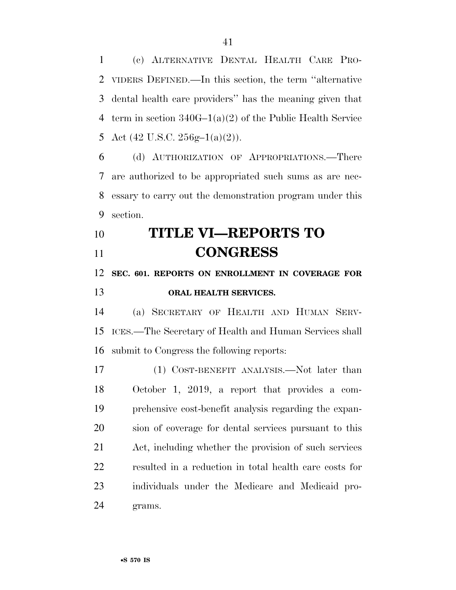(c) ALTERNATIVE DENTAL HEALTH CARE PRO- VIDERS DEFINED.—In this section, the term ''alternative dental health care providers'' has the meaning given that term in section 340G–1(a)(2) of the Public Health Service 5 Act  $(42 \text{ U.S.C. } 256 \text{g} - 1(a)(2))$ .

 (d) AUTHORIZATION OF APPROPRIATIONS.—There are authorized to be appropriated such sums as are nec- essary to carry out the demonstration program under this section.

# **TITLE VI—REPORTS TO CONGRESS**

### **SEC. 601. REPORTS ON ENROLLMENT IN COVERAGE FOR**

### **ORAL HEALTH SERVICES.**

 (a) SECRETARY OF HEALTH AND HUMAN SERV- ICES.—The Secretary of Health and Human Services shall submit to Congress the following reports:

 (1) COST-BENEFIT ANALYSIS.—Not later than October 1, 2019, a report that provides a com- prehensive cost-benefit analysis regarding the expan- sion of coverage for dental services pursuant to this Act, including whether the provision of such services resulted in a reduction in total health care costs for individuals under the Medicare and Medicaid pro-grams.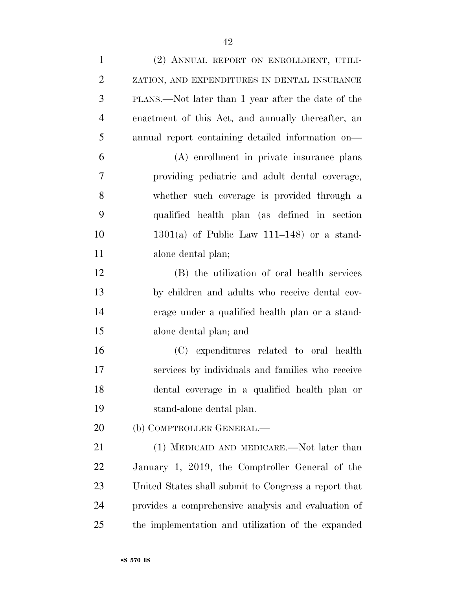(2) ANNUAL REPORT ON ENROLLMENT, UTILI- ZATION, AND EXPENDITURES IN DENTAL INSURANCE PLANS.—Not later than 1 year after the date of the enactment of this Act, and annually thereafter, an annual report containing detailed information on— (A) enrollment in private insurance plans providing pediatric and adult dental coverage, whether such coverage is provided through a qualified health plan (as defined in section 1301(a) of Public Law 111–148) or a stand- alone dental plan; (B) the utilization of oral health services by children and adults who receive dental cov- erage under a qualified health plan or a stand- alone dental plan; and (C) expenditures related to oral health services by individuals and families who receive dental coverage in a qualified health plan or stand-alone dental plan. 20 (b) COMPTROLLER GENERAL.— 21 (1) MEDICAID AND MEDICARE.—Not later than January 1, 2019, the Comptroller General of the United States shall submit to Congress a report that provides a comprehensive analysis and evaluation of the implementation and utilization of the expanded